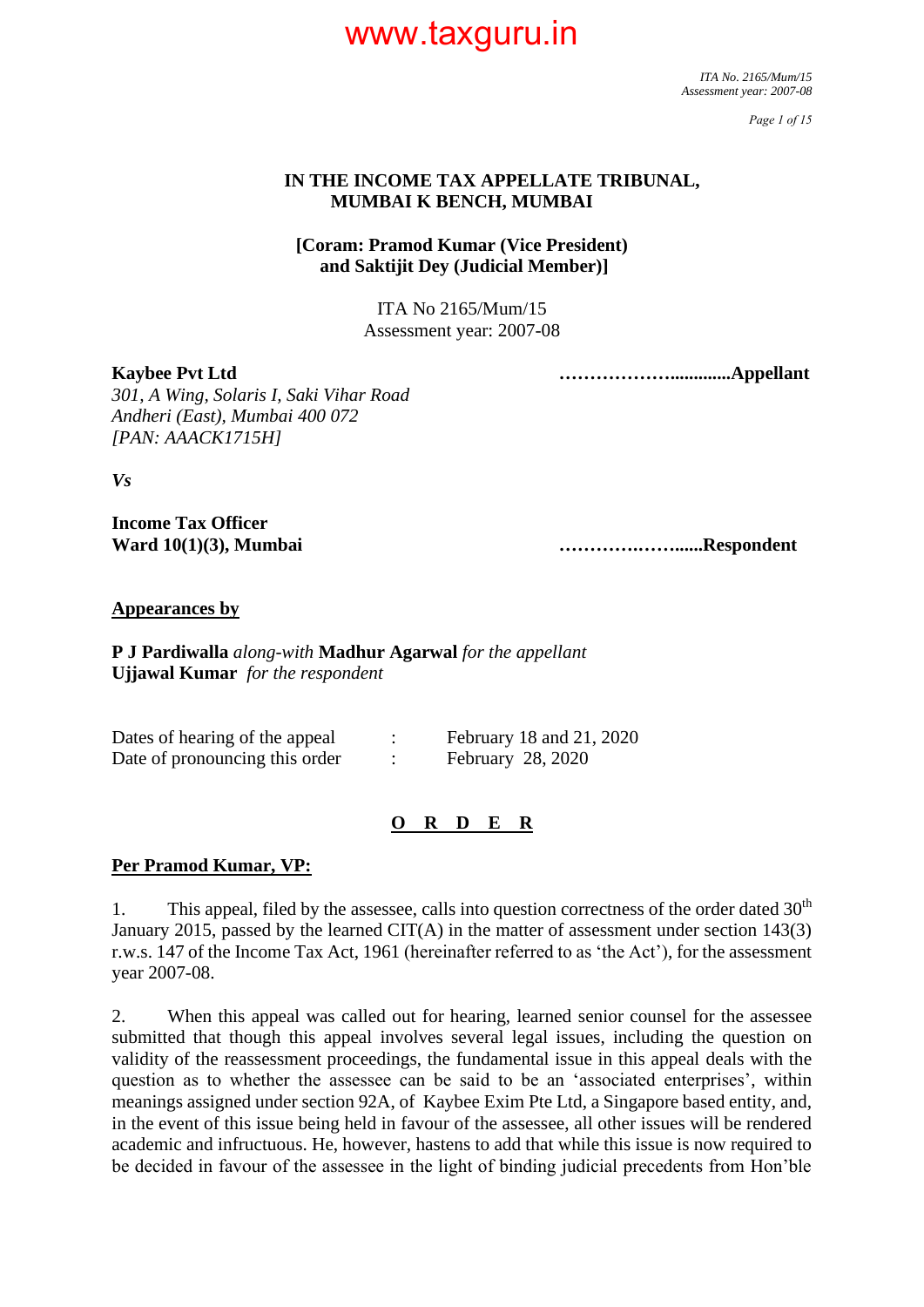*ITA No. 2165/Mum/15 Assessment year: 2007-08*

*Page 1 of 15*

#### **IN THE INCOME TAX APPELLATE TRIBUNAL, MUMBAI K BENCH, MUMBAI**

#### **[Coram: Pramod Kumar (Vice President) and Saktijit Dey (Judicial Member)]**

ITA No 2165/Mum/15 Assessment year: 2007-08

**Kaybee Pvt Ltd ……………….............Appellant**

*301, A Wing, Solaris I, Saki Vihar Road Andheri (East), Mumbai 400 072 [PAN: AAACK1715H]*

*Vs*

**Income Tax Officer**

**Ward 10(1)(3), Mumbai ………….……......Respondent**

#### **Appearances by**

**P J Pardiwalla** *along-with* **Madhur Agarwal** *for the appellant* **Ujjawal Kumar** *for the respondent*

| Dates of hearing of the appeal | February 18 and 21, 2020 |
|--------------------------------|--------------------------|
| Date of pronouncing this order | February 28, 2020        |

#### **O R D E R**

#### **Per Pramod Kumar, VP:**

1. This appeal, filed by the assessee, calls into question correctness of the order dated  $30<sup>th</sup>$ January 2015, passed by the learned  $CIT(A)$  in the matter of assessment under section 143(3) r.w.s. 147 of the Income Tax Act, 1961 (hereinafter referred to as 'the Act'), for the assessment year 2007-08.

2. When this appeal was called out for hearing, learned senior counsel for the assessee submitted that though this appeal involves several legal issues, including the question on validity of the reassessment proceedings, the fundamental issue in this appeal deals with the question as to whether the assessee can be said to be an 'associated enterprises', within meanings assigned under section 92A, of Kaybee Exim Pte Ltd, a Singapore based entity, and, in the event of this issue being held in favour of the assessee, all other issues will be rendered academic and infructuous. He, however, hastens to add that while this issue is now required to be decided in favour of the assessee in the light of binding judicial precedents from Hon'ble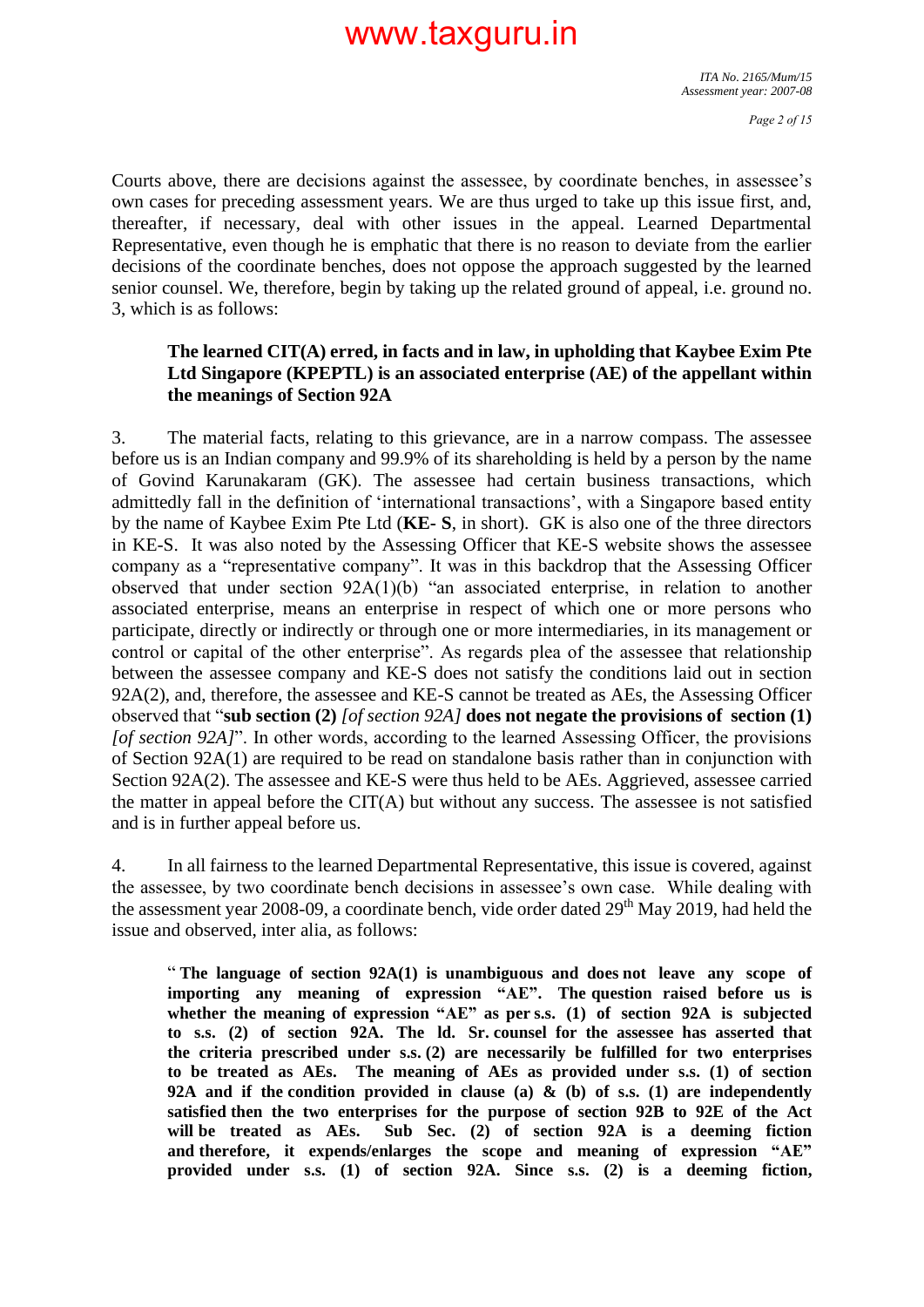Courts above, there are decisions against the assessee, by coordinate benches, in assessee's own cases for preceding assessment years. We are thus urged to take up this issue first, and, thereafter, if necessary, deal with other issues in the appeal. Learned Departmental Representative, even though he is emphatic that there is no reason to deviate from the earlier decisions of the coordinate benches, does not oppose the approach suggested by the learned senior counsel. We, therefore, begin by taking up the related ground of appeal, i.e. ground no. 3, which is as follows:

#### **The learned CIT(A) erred, in facts and in law, in upholding that Kaybee Exim Pte Ltd Singapore (KPEPTL) is an associated enterprise (AE) of the appellant within the meanings of Section 92A**

3. The material facts, relating to this grievance, are in a narrow compass. The assessee before us is an Indian company and 99.9% of its shareholding is held by a person by the name of Govind Karunakaram (GK). The assessee had certain business transactions, which admittedly fall in the definition of 'international transactions', with a Singapore based entity by the name of Kaybee Exim Pte Ltd (**KE- S**, in short). GK is also one of the three directors in KE-S. It was also noted by the Assessing Officer that KE-S website shows the assessee company as a "representative company". It was in this backdrop that the Assessing Officer observed that under section 92A(1)(b) "an associated enterprise, in relation to another associated enterprise, means an enterprise in respect of which one or more persons who participate, directly or indirectly or through one or more intermediaries, in its management or control or capital of the other enterprise". As regards plea of the assessee that relationship between the assessee company and KE-S does not satisfy the conditions laid out in section 92A(2), and, therefore, the assessee and KE-S cannot be treated as AEs, the Assessing Officer observed that "**sub section (2)** *[of section 92A]* **does not negate the provisions of section (1)** *[of section 92A]*". In other words, according to the learned Assessing Officer, the provisions of Section  $92A(1)$  are required to be read on standalone basis rather than in conjunction with Section 92A(2). The assessee and KE-S were thus held to be AEs. Aggrieved, assessee carried the matter in appeal before the  $CIT(A)$  but without any success. The assessee is not satisfied and is in further appeal before us.

4. In all fairness to the learned Departmental Representative, this issue is covered, against the assessee, by two coordinate bench decisions in assessee's own case. While dealing with the assessment year 2008-09, a coordinate bench, vide order dated 29<sup>th</sup> May 2019, had held the issue and observed, inter alia, as follows:

" **The language of section 92A(1) is unambiguous and does not leave any scope of importing any meaning of expression "AE". The question raised before us is whether the meaning of expression "AE" as per s.s. (1) of section 92A is subjected to s.s. (2) of section 92A. The ld. Sr. counsel for the assessee has asserted that the criteria prescribed under s.s. (2) are necessarily be fulfilled for two enterprises to be treated as AEs. The meaning of AEs as provided under s.s. (1) of section 92A and if the condition provided in clause (a) & (b) of s.s. (1) are independently satisfied then the two enterprises for the purpose of section 92B to 92E of the Act will be treated as AEs. Sub Sec. (2) of section 92A is a deeming fiction and therefore, it expends/enlarges the scope and meaning of expression "AE" provided under s.s. (1) of section 92A. Since s.s. (2) is a deeming fiction,**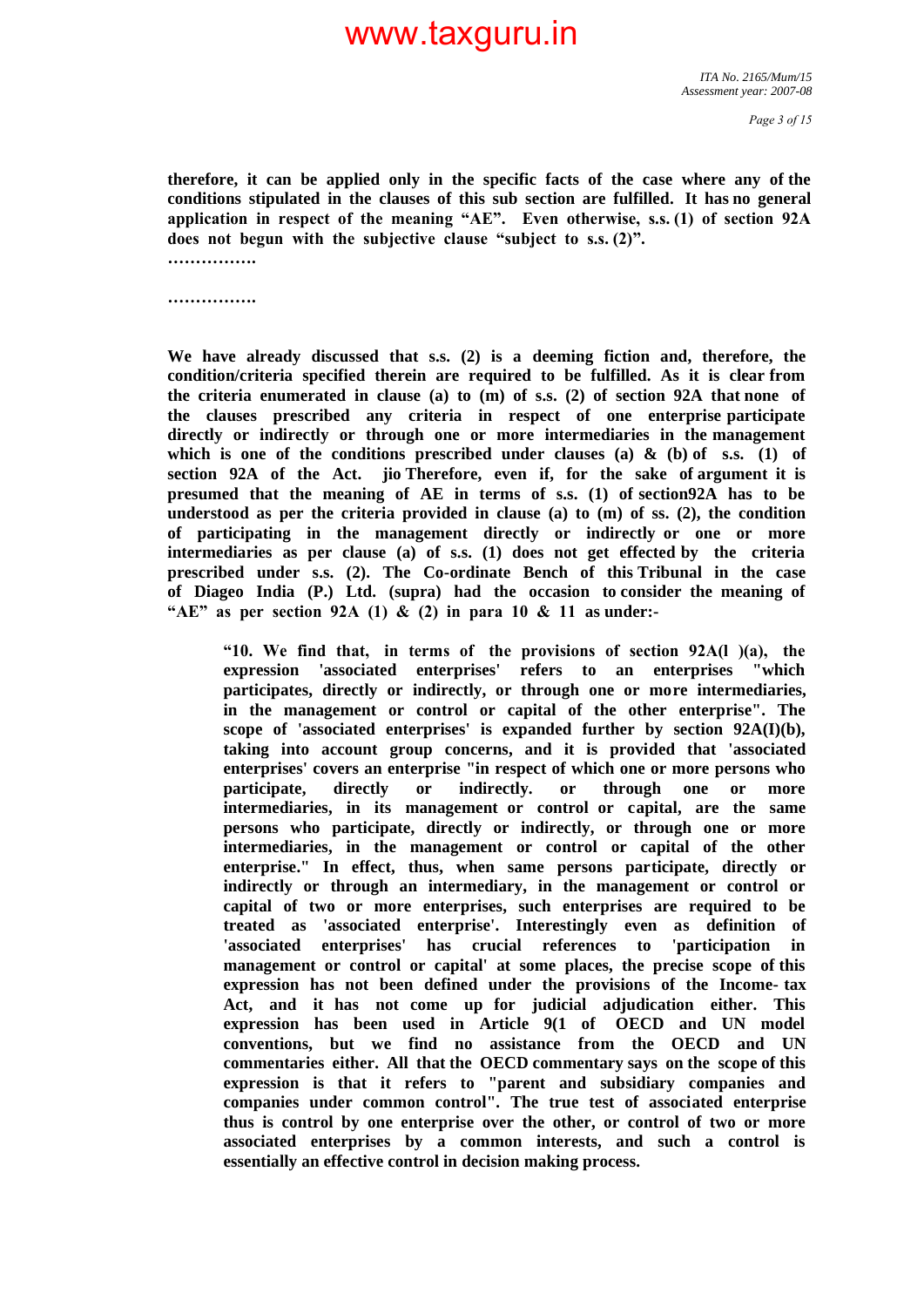**therefore, it can be applied only in the specific facts of the case where any of the conditions stipulated in the clauses of this sub section are fulfilled. It has no general application in respect of the meaning "AE". Even otherwise, s.s. (1) of section 92A does not begun with the subjective clause "subject to s.s. (2)".** 

**…………….**

**…………….**

**We have already discussed that s.s. (2) is a deeming fiction and, therefore, the condition/criteria specified therein are required to be fulfilled. As it is clear from the criteria enumerated in clause (a) to (m) of s.s. (2) of section 92A that none of the clauses prescribed any criteria in respect of one enterprise participate directly or indirectly or through one or more intermediaries in the management**  which is one of the conditions prescribed under clauses (a)  $\&$  (b) of s.s. (1) of **section 92A of the Act. jio Therefore, even if, for the sake of argument it is presumed that the meaning of AE in terms of s.s. (1) of section92A has to be understood as per the criteria provided in clause (a) to (m) of ss. (2), the condition of participating in the management directly or indirectly or one or more intermediaries as per clause (a) of s.s. (1) does not get effected by the criteria prescribed under s.s. (2). The Co-ordinate Bench of this Tribunal in the case of Diageo India (P.) Ltd. (supra) had the occasion to consider the meaning of "AE" as per section 92A (1) & (2) in para 10 & 11 as under:-**

**"10. We find that, in terms of the provisions of section 92A(l )(a), the expression 'associated enterprises' refers to an enterprises "which participates, directly or indirectly, or through one or more intermediaries, in the management or control or capital of the other enterprise". The**  scope of 'associated enterprises' is expanded further by section  $92A(I)(b)$ , **taking into account group concerns, and it is provided that 'associated enterprises' covers an enterprise "in respect of which one or more persons who participate, directly or indirectly. or through one or more intermediaries, in its management or control or capital, are the same persons who participate, directly or indirectly, or through one or more intermediaries, in the management or control or capital of the other enterprise." In effect, thus, when same persons participate, directly or indirectly or through an intermediary, in the management or control or capital of two or more enterprises, such enterprises are required to be treated as 'associated enterprise'. Interestingly even as definition of 'associated enterprises' has crucial references to 'participation in management or control or capital' at some places, the precise scope of this expression has not been defined under the provisions of the Income- tax Act, and it has not come up for judicial adjudication either. This expression has been used in Article 9(1 of OECD and UN model conventions, but we find no assistance from the OECD and UN commentaries either. All that the OECD commentary says on the scope of this expression is that it refers to "parent and subsidiary companies and companies under common control". The true test of associated enterprise thus is control by one enterprise over the other, or control of two or more associated enterprises by a common interests, and such a control is essentially an effective control in decision making process.**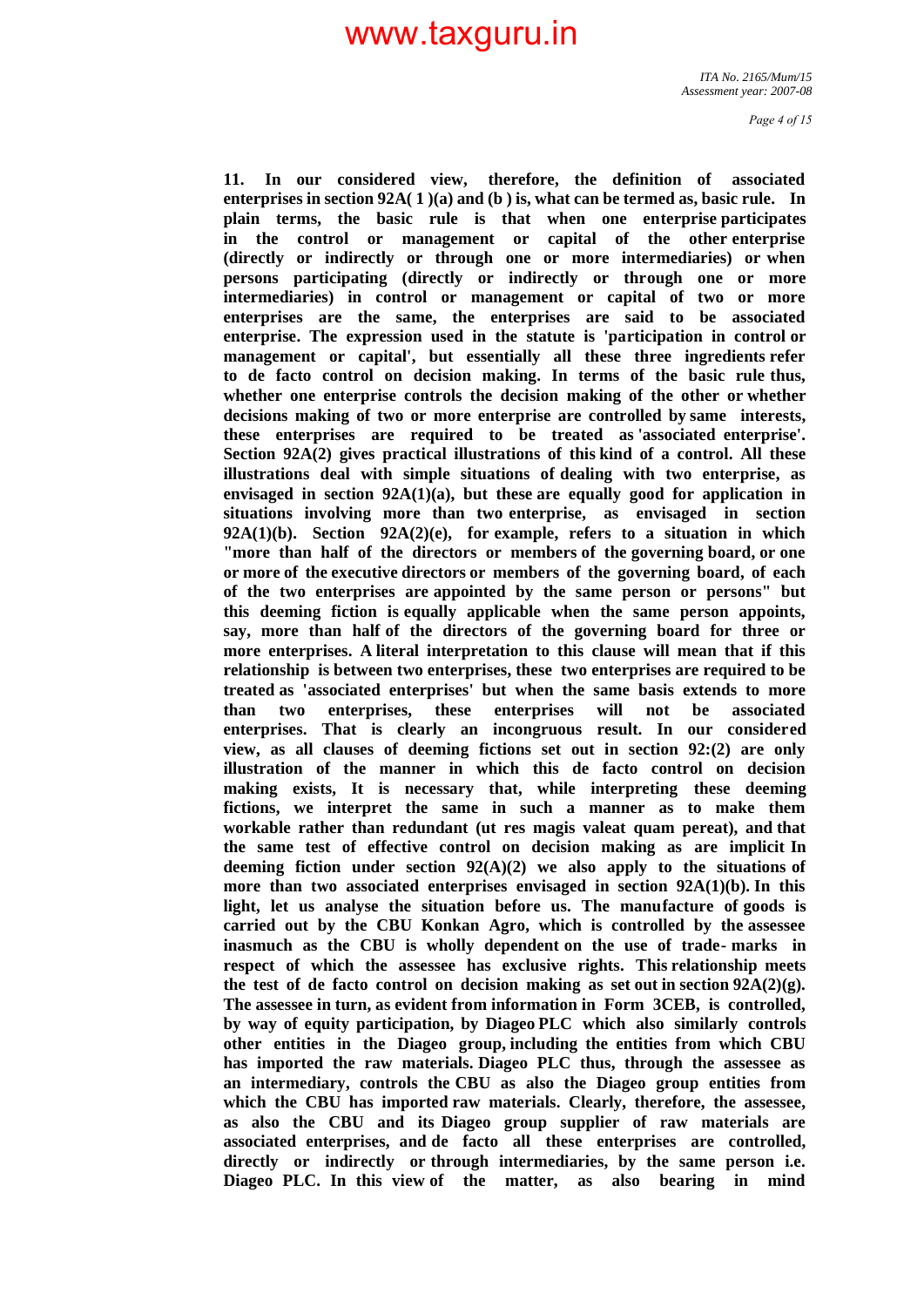**11. In our considered view, therefore, the definition of associated enterprises in section 92A( 1 )(a) and (b ) is, what can be termed as, basic rule. In plain terms, the basic rule is that when one enterprise participates in the control or management or capital of the other enterprise (directly or indirectly or through one or more intermediaries) or when persons participating (directly or indirectly or through one or more intermediaries) in control or management or capital of two or more enterprises are the same, the enterprises are said to be associated enterprise. The expression used in the statute is 'participation in control or management or capital', but essentially all these three ingredients refer to de facto control on decision making. In terms of the basic rule thus, whether one enterprise controls the decision making of the other or whether decisions making of two or more enterprise are controlled by same interests, these enterprises are required to be treated as 'associated enterprise'. Section 92A(2) gives practical illustrations of this kind of a control. All these illustrations deal with simple situations of dealing with two enterprise, as envisaged in section 92A(1)(a), but these are equally good for application in situations involving more than two enterprise, as envisaged in section 92A(1)(b). Section 92A(2)(e), for example, refers to a situation in which "more than half of the directors or members of the governing board, or one or more of the executive directors or members of the governing board, of each of the two enterprises are appointed by the same person or persons" but this deeming fiction is equally applicable when the same person appoints, say, more than half of the directors of the governing board for three or more enterprises. A literal interpretation to this clause will mean that if this relationship is between two enterprises, these two enterprises are required to be treated as 'associated enterprises' but when the same basis extends to more than two enterprises, these enterprises will not be associated enterprises. That is clearly an incongruous result. In our considered view, as all clauses of deeming fictions set out in section 92:(2) are only illustration of the manner in which this de facto control on decision making exists, It is necessary that, while interpreting these deeming fictions, we interpret the same in such a manner as to make them workable rather than redundant (ut res magis valeat quam pereat), and that the same test of effective control on decision making as are implicit In deeming fiction under section 92(A)(2) we also apply to the situations of more than two associated enterprises envisaged in section 92A(1)(b). In this light, let us analyse the situation before us. The manufacture of goods is carried out by the CBU Konkan Agro, which is controlled by the assessee inasmuch as the CBU is wholly dependent on the use of trade- marks in respect of which the assessee has exclusive rights. This relationship meets**  the test of de facto control on decision making as set out in section  $92A(2)(g)$ . **The assessee in turn, as evident from information in Form 3CEB, is controlled, by way of equity participation, by Diageo PLC which also similarly controls other entities in the Diageo group, including the entities from which CBU has imported the raw materials. Diageo PLC thus, through the assessee as an intermediary, controls the CBU as also the Diageo group entities from which the CBU has imported raw materials. Clearly, therefore, the assessee, as also the CBU and its Diageo group supplier of raw materials are associated enterprises, and de facto all these enterprises are controlled, directly or indirectly or through intermediaries, by the same person i.e. Diageo PLC. In this view of the matter, as also bearing in mind**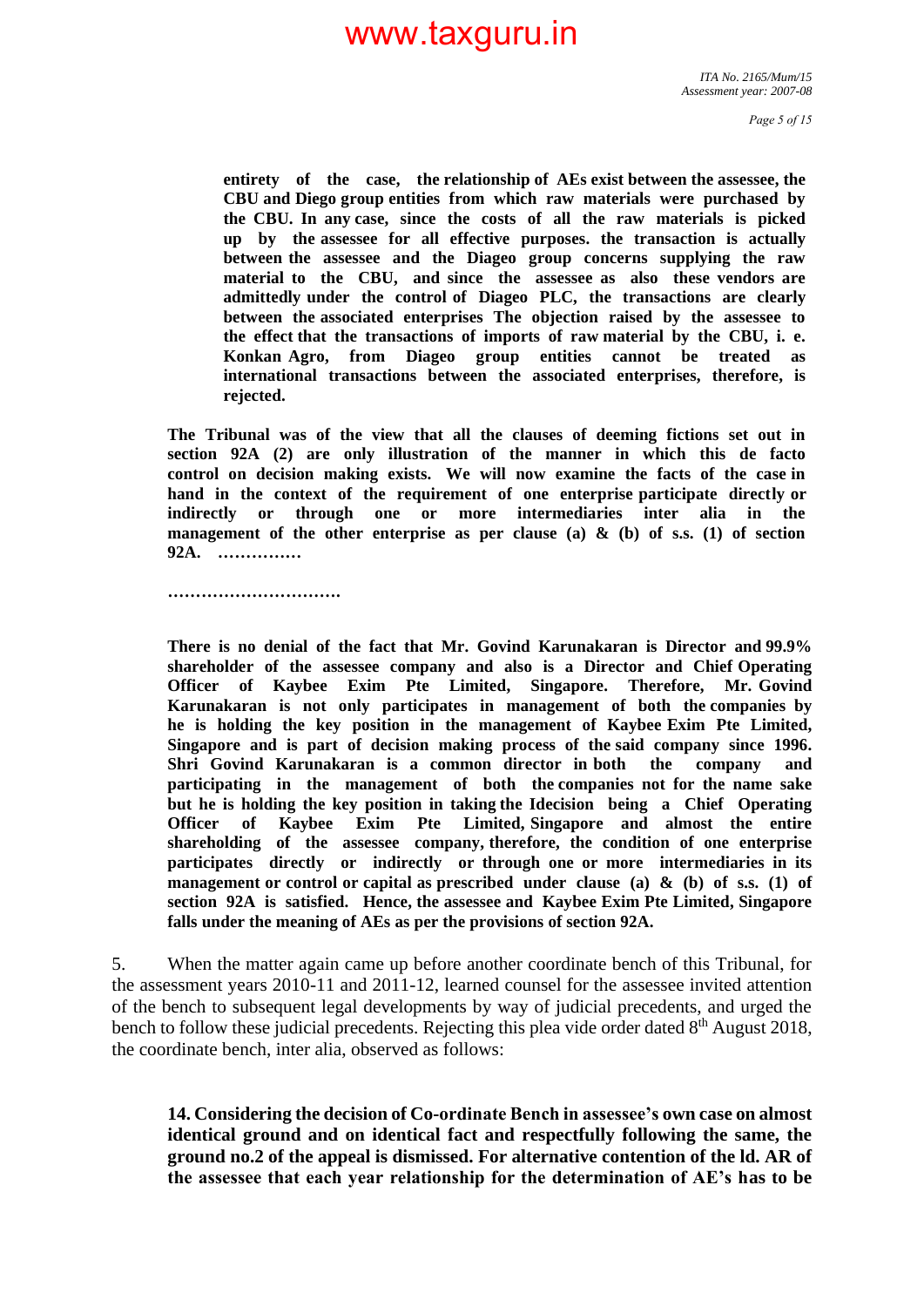**entirety of the case, the relationship of AEs exist between the assessee, the CBU and Diego group entities from which raw materials were purchased by the CBU. In any case, since the costs of all the raw materials is picked up by the assessee for all effective purposes. the transaction is actually between the assessee and the Diageo group concerns supplying the raw material to the CBU, and since the assessee as also these vendors are admittedly under the control of Diageo PLC, the transactions are clearly between the associated enterprises The objection raised by the assessee to the effect that the transactions of imports of raw material by the CBU, i. e. Konkan Agro, from Diageo group entities cannot be treated as international transactions between the associated enterprises, therefore, is rejected.**

**The Tribunal was of the view that all the clauses of deeming fictions set out in section 92A (2) are only illustration of the manner in which this de facto control on decision making exists. We will now examine the facts of the case in hand in the context of the requirement of one enterprise participate directly or indirectly or through one or more intermediaries inter alia in the management of the other enterprise as per clause (a) & (b) of s.s. (1) of section 92A. ……………**

**………………………….**

**There is no denial of the fact that Mr. Govind Karunakaran is Director and 99.9% shareholder of the assessee company and also is a Director and Chief Operating Officer of Kaybee Exim Pte Limited, Singapore. Therefore, Mr. Govind Karunakaran is not only participates in management of both the companies by he is holding the key position in the management of Kaybee Exim Pte Limited, Singapore and is part of decision making process of the said company since 1996. Shri Govind Karunakaran is a common director in both the company and participating in the management of both the companies not for the name sake but he is holding the key position in taking the Idecision being a Chief Operating Officer of Kaybee Exim Pte Limited, Singapore and almost the entire shareholding of the assessee company, therefore, the condition of one enterprise participates directly or indirectly or through one or more intermediaries in its management or control or capital as prescribed under clause (a) & (b) of s.s. (1) of section 92A is satisfied. Hence, the assessee and Kaybee Exim Pte Limited, Singapore falls under the meaning of AEs as per the provisions of section 92A.**

5. When the matter again came up before another coordinate bench of this Tribunal, for the assessment years 2010-11 and 2011-12, learned counsel for the assessee invited attention of the bench to subsequent legal developments by way of judicial precedents, and urged the bench to follow these judicial precedents. Rejecting this plea vide order dated 8<sup>th</sup> August 2018, the coordinate bench, inter alia, observed as follows:

**14. Considering the decision of Co-ordinate Bench in assessee's own case on almost identical ground and on identical fact and respectfully following the same, the ground no.2 of the appeal is dismissed. For alternative contention of the ld. AR of the assessee that each year relationship for the determination of AE's has to be**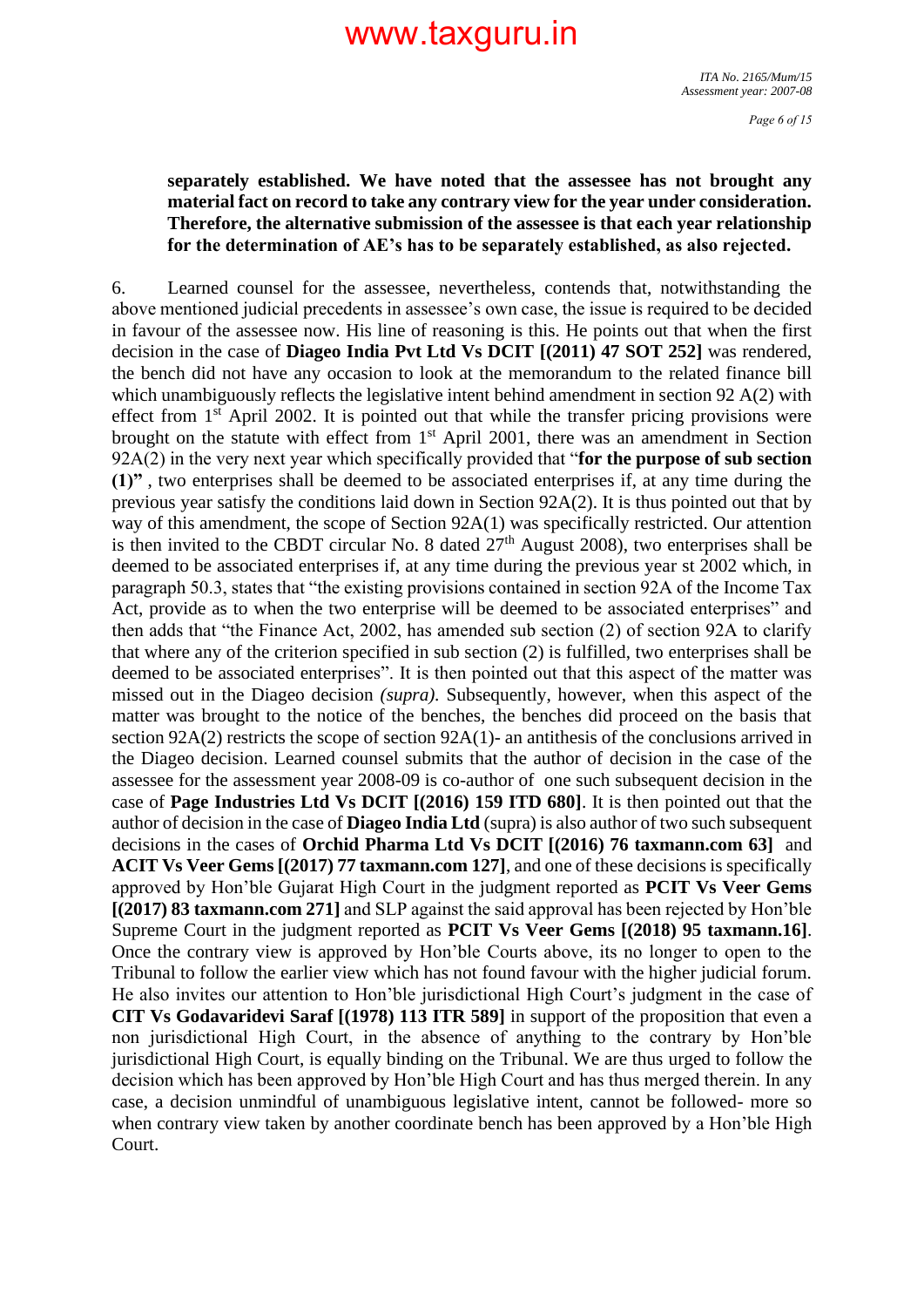*Page 6 of 15*

### **separately established. We have noted that the assessee has not brought any material fact on record to take any contrary view for the year under consideration. Therefore, the alternative submission of the assessee is that each year relationship for the determination of AE's has to be separately established, as also rejected.**

6. Learned counsel for the assessee, nevertheless, contends that, notwithstanding the above mentioned judicial precedents in assessee's own case, the issue is required to be decided in favour of the assessee now. His line of reasoning is this. He points out that when the first decision in the case of **Diageo India Pvt Ltd Vs DCIT [(2011) 47 SOT 252]** was rendered, the bench did not have any occasion to look at the memorandum to the related finance bill which unambiguously reflects the legislative intent behind amendment in section 92 A(2) with effect from  $1<sup>st</sup>$  April 2002. It is pointed out that while the transfer pricing provisions were brought on the statute with effect from  $1<sup>st</sup>$  April 2001, there was an amendment in Section 92A(2) in the very next year which specifically provided that "**for the purpose of sub section (1)"** , two enterprises shall be deemed to be associated enterprises if, at any time during the previous year satisfy the conditions laid down in Section 92A(2). It is thus pointed out that by way of this amendment, the scope of Section 92A(1) was specifically restricted. Our attention is then invited to the CBDT circular No. 8 dated  $27<sup>th</sup>$  August 2008), two enterprises shall be deemed to be associated enterprises if, at any time during the previous year st 2002 which, in paragraph 50.3, states that "the existing provisions contained in section 92A of the Income Tax Act, provide as to when the two enterprise will be deemed to be associated enterprises" and then adds that "the Finance Act, 2002, has amended sub section (2) of section 92A to clarify that where any of the criterion specified in sub section (2) is fulfilled, two enterprises shall be deemed to be associated enterprises". It is then pointed out that this aspect of the matter was missed out in the Diageo decision *(supra).* Subsequently, however, when this aspect of the matter was brought to the notice of the benches, the benches did proceed on the basis that section 92A(2) restricts the scope of section 92A(1)- an antithesis of the conclusions arrived in the Diageo decision. Learned counsel submits that the author of decision in the case of the assessee for the assessment year 2008-09 is co-author of one such subsequent decision in the case of **Page Industries Ltd Vs DCIT [(2016) 159 ITD 680]**. It is then pointed out that the author of decision in the case of **Diageo India Ltd** (supra) is also author of two such subsequent decisions in the cases of **Orchid Pharma Ltd Vs DCIT [(2016) 76 taxmann.com 63]** and **ACIT Vs Veer Gems [(2017) 77 taxmann.com 127]**, and one of these decisions is specifically approved by Hon'ble Gujarat High Court in the judgment reported as **PCIT Vs Veer Gems [(2017) 83 taxmann.com 271]** and SLP against the said approval has been rejected by Hon'ble Supreme Court in the judgment reported as **PCIT Vs Veer Gems [(2018) 95 taxmann.16]**. Once the contrary view is approved by Hon'ble Courts above, its no longer to open to the Tribunal to follow the earlier view which has not found favour with the higher judicial forum. He also invites our attention to Hon'ble jurisdictional High Court's judgment in the case of **CIT Vs Godavaridevi Saraf [(1978) 113 ITR 589]** in support of the proposition that even a non jurisdictional High Court, in the absence of anything to the contrary by Hon'ble jurisdictional High Court, is equally binding on the Tribunal. We are thus urged to follow the decision which has been approved by Hon'ble High Court and has thus merged therein. In any case, a decision unmindful of unambiguous legislative intent, cannot be followed- more so when contrary view taken by another coordinate bench has been approved by a Hon'ble High Court.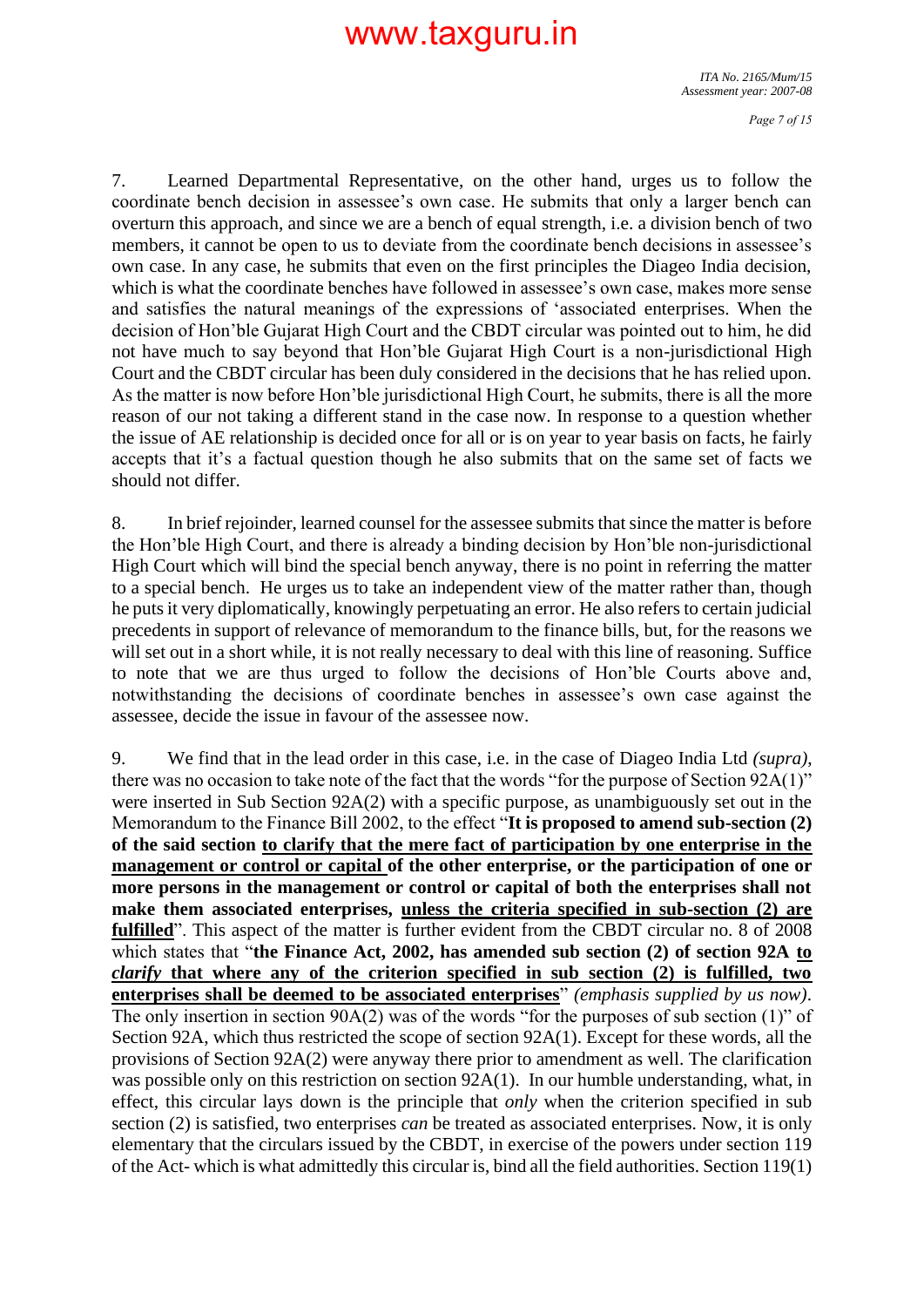*ITA No. 2165/Mum/15 Assessment year: 2007-08*

7. Learned Departmental Representative, on the other hand, urges us to follow the coordinate bench decision in assessee's own case. He submits that only a larger bench can overturn this approach, and since we are a bench of equal strength, i.e. a division bench of two members, it cannot be open to us to deviate from the coordinate bench decisions in assessee's own case. In any case, he submits that even on the first principles the Diageo India decision, which is what the coordinate benches have followed in assessee's own case, makes more sense and satisfies the natural meanings of the expressions of 'associated enterprises. When the decision of Hon'ble Gujarat High Court and the CBDT circular was pointed out to him, he did not have much to say beyond that Hon'ble Gujarat High Court is a non-jurisdictional High Court and the CBDT circular has been duly considered in the decisions that he has relied upon. As the matter is now before Hon'ble jurisdictional High Court, he submits, there is all the more reason of our not taking a different stand in the case now. In response to a question whether the issue of AE relationship is decided once for all or is on year to year basis on facts, he fairly accepts that it's a factual question though he also submits that on the same set of facts we should not differ.

8. In brief rejoinder, learned counsel for the assessee submits that since the matter is before the Hon'ble High Court, and there is already a binding decision by Hon'ble non-jurisdictional High Court which will bind the special bench anyway, there is no point in referring the matter to a special bench. He urges us to take an independent view of the matter rather than, though he puts it very diplomatically, knowingly perpetuating an error. He also refers to certain judicial precedents in support of relevance of memorandum to the finance bills, but, for the reasons we will set out in a short while, it is not really necessary to deal with this line of reasoning. Suffice to note that we are thus urged to follow the decisions of Hon'ble Courts above and, notwithstanding the decisions of coordinate benches in assessee's own case against the assessee, decide the issue in favour of the assessee now.

9. We find that in the lead order in this case, i.e. in the case of Diageo India Ltd *(supra)*, there was no occasion to take note of the fact that the words "for the purpose of Section 92A(1)" were inserted in Sub Section 92A(2) with a specific purpose, as unambiguously set out in the Memorandum to the Finance Bill 2002, to the effect "**It is proposed to amend sub-section (2) of the said section to clarify that the mere fact of participation by one enterprise in the management or control or capital of the other enterprise, or the participation of one or more persons in the management or control or capital of both the enterprises shall not make them associated enterprises, unless the criteria specified in sub-section (2) are fulfilled**". This aspect of the matter is further evident from the CBDT circular no. 8 of 2008 which states that "**the Finance Act, 2002, has amended sub section (2) of section 92A to**  *clarify* **that where any of the criterion specified in sub section (2) is fulfilled, two enterprises shall be deemed to be associated enterprises**" *(emphasis supplied by us now)*. The only insertion in section 90A(2) was of the words "for the purposes of sub section (1)" of Section 92A, which thus restricted the scope of section 92A(1). Except for these words, all the provisions of Section 92A(2) were anyway there prior to amendment as well. The clarification was possible only on this restriction on section  $92A(1)$ . In our humble understanding, what, in effect, this circular lays down is the principle that *only* when the criterion specified in sub section (2) is satisfied, two enterprises *can* be treated as associated enterprises. Now, it is only elementary that the circulars issued by the CBDT, in exercise of the powers under section 119 of the Act- which is what admittedly this circular is, bind all the field authorities. Section 119(1)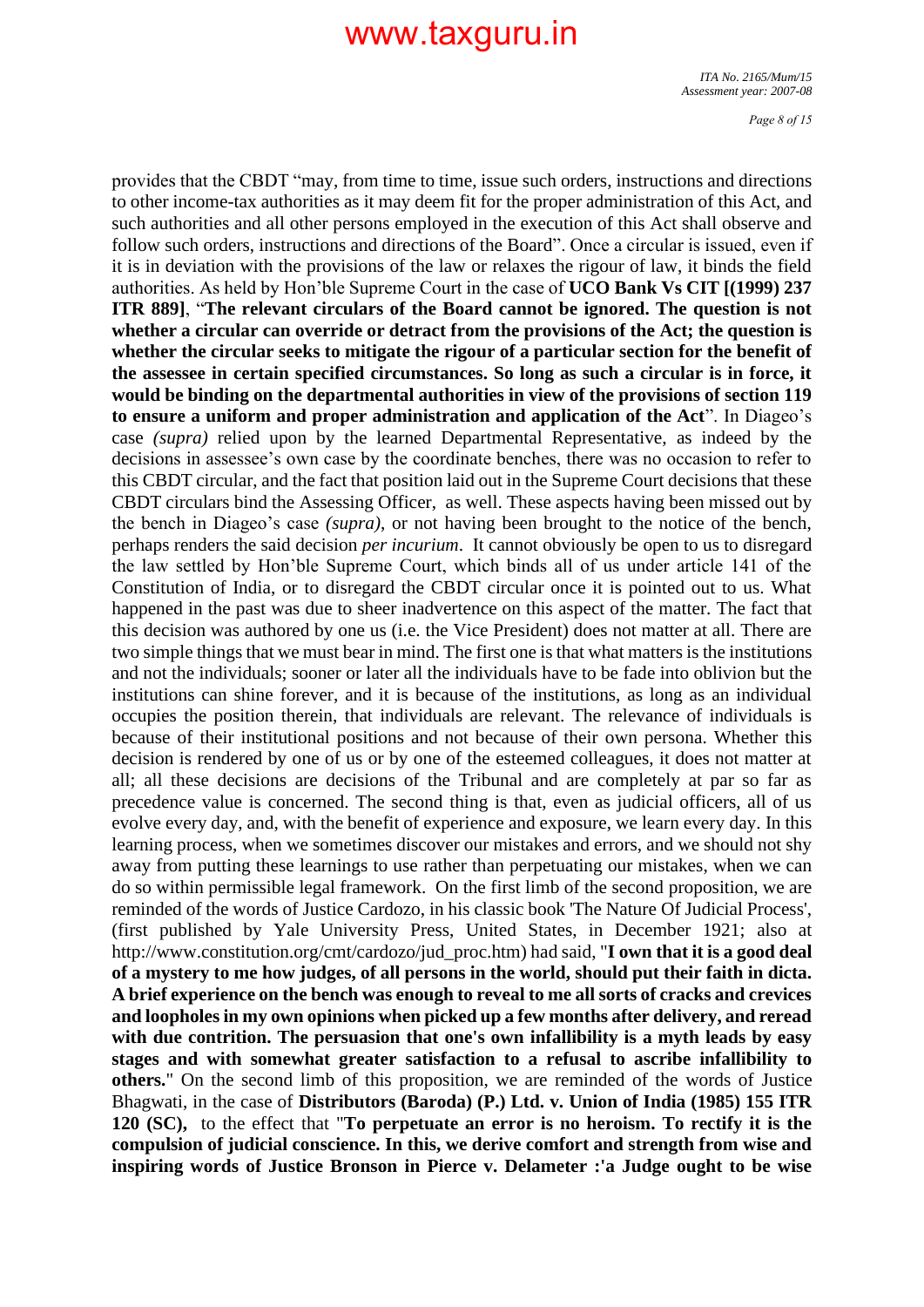*ITA No. 2165/Mum/15 Assessment year: 2007-08*

*Page 8 of 15*

provides that the CBDT "may, from time to time, issue such orders, instructions and directions to other income-tax authorities as it may deem fit for the proper administration of this Act, and such authorities and all other persons employed in the execution of this Act shall observe and follow such orders, instructions and directions of the Board". Once a circular is issued, even if it is in deviation with the provisions of the law or relaxes the rigour of law, it binds the field authorities. As held by Hon'ble Supreme Court in the case of **UCO Bank Vs CIT [(1999) 237 ITR 889]**, "**The relevant circulars of the Board cannot be ignored. The question is not whether a circular can override or detract from the provisions of the Act; the question is whether the circular seeks to mitigate the rigour of a particular section for the benefit of the assessee in certain specified circumstances. So long as such a circular is in force, it would be binding on the departmental authorities in view of the provisions of section 119 to ensure a uniform and proper administration and application of the Act**". In Diageo's case *(supra)* relied upon by the learned Departmental Representative, as indeed by the decisions in assessee's own case by the coordinate benches, there was no occasion to refer to this CBDT circular, and the fact that position laid out in the Supreme Court decisions that these CBDT circulars bind the Assessing Officer, as well. These aspects having been missed out by the bench in Diageo's case *(supra)*, or not having been brought to the notice of the bench, perhaps renders the said decision *per incurium*. It cannot obviously be open to us to disregard the law settled by Hon'ble Supreme Court, which binds all of us under article 141 of the Constitution of India, or to disregard the CBDT circular once it is pointed out to us. What happened in the past was due to sheer inadvertence on this aspect of the matter. The fact that this decision was authored by one us (i.e. the Vice President) does not matter at all. There are two simple things that we must bear in mind. The first one is that what matters is the institutions and not the individuals; sooner or later all the individuals have to be fade into oblivion but the institutions can shine forever, and it is because of the institutions, as long as an individual occupies the position therein, that individuals are relevant. The relevance of individuals is because of their institutional positions and not because of their own persona. Whether this decision is rendered by one of us or by one of the esteemed colleagues, it does not matter at all; all these decisions are decisions of the Tribunal and are completely at par so far as precedence value is concerned. The second thing is that, even as judicial officers, all of us evolve every day, and, with the benefit of experience and exposure, we learn every day. In this learning process, when we sometimes discover our mistakes and errors, and we should not shy away from putting these learnings to use rather than perpetuating our mistakes, when we can do so within permissible legal framework. On the first limb of the second proposition, we are reminded of the words of Justice Cardozo, in his classic book 'The Nature Of Judicial Process', (first published by Yale University Press, United States, in December 1921; also at http://www.constitution.org/cmt/cardozo/jud\_proc.htm) had said, "**I own that it is a good deal of a mystery to me how judges, of all persons in the world, should put their faith in dicta. A brief experience on the bench was enough to reveal to me all sorts of cracks and crevices and loopholes in my own opinions when picked up a few months after delivery, and reread with due contrition. The persuasion that one's own infallibility is a myth leads by easy stages and with somewhat greater satisfaction to a refusal to ascribe infallibility to others.**" On the second limb of this proposition, we are reminded of the words of Justice Bhagwati, in the case of **Distributors (Baroda) (P.) Ltd. v. Union of India (1985) 155 ITR 120 (SC),** to the effect that "**To perpetuate an error is no heroism. To rectify it is the compulsion of judicial conscience. In this, we derive comfort and strength from wise and inspiring words of Justice Bronson in Pierce v. Delameter :'a Judge ought to be wise**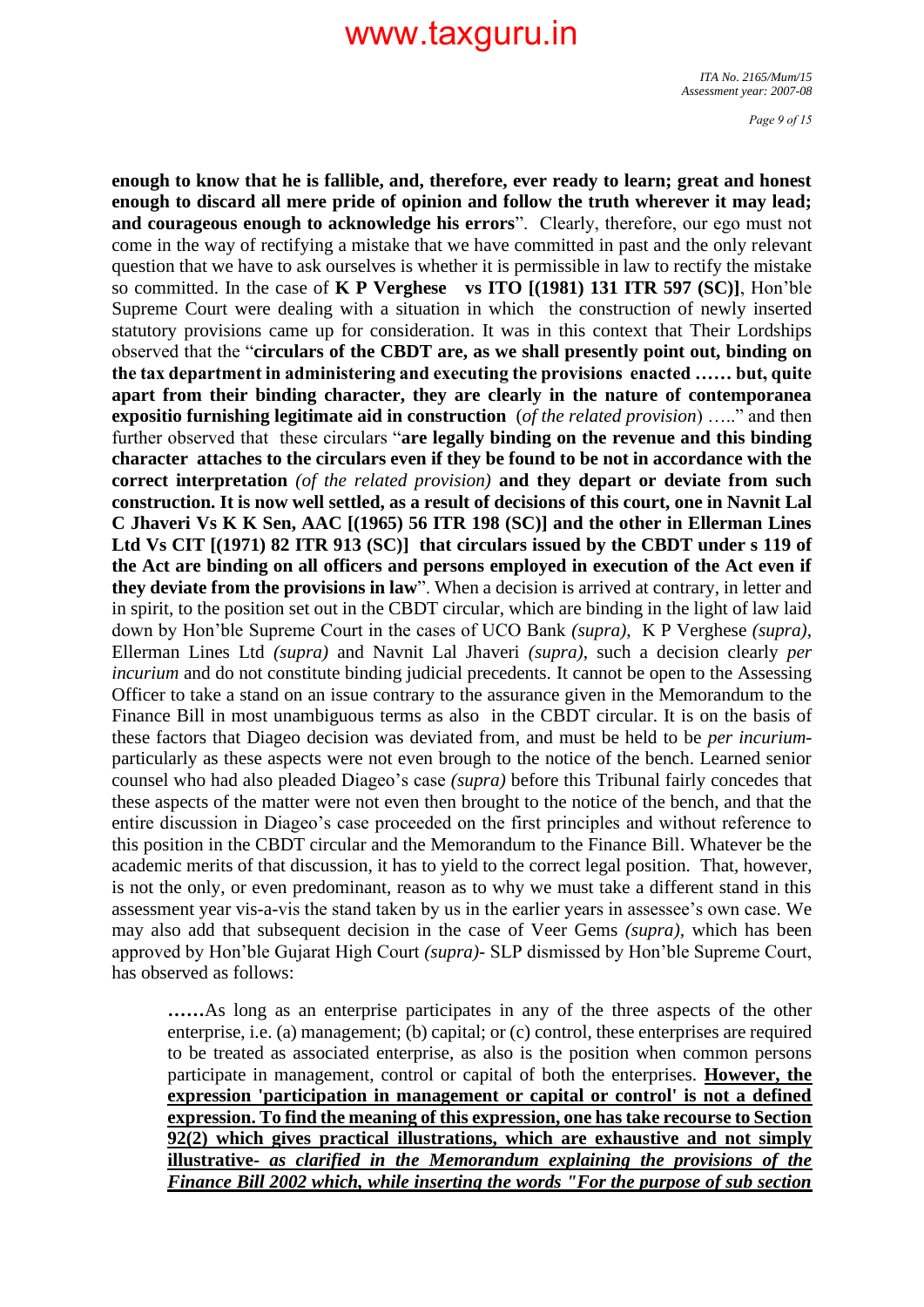*ITA No. 2165/Mum/15 Assessment year: 2007-08*

*Page 9 of 15*

**enough to know that he is fallible, and, therefore, ever ready to learn; great and honest enough to discard all mere pride of opinion and follow the truth wherever it may lead; and courageous enough to acknowledge his errors**". Clearly, therefore, our ego must not come in the way of rectifying a mistake that we have committed in past and the only relevant question that we have to ask ourselves is whether it is permissible in law to rectify the mistake so committed. In the case of **K P Verghese vs ITO [(1981) 131 ITR 597 (SC)]**, Hon'ble Supreme Court were dealing with a situation in which the construction of newly inserted statutory provisions came up for consideration. It was in this context that Their Lordships observed that the "**circulars of the CBDT are, as we shall presently point out, binding on the tax department in administering and executing the provisions enacted …… but, quite apart from their binding character, they are clearly in the nature of contemporanea expositio furnishing legitimate aid in construction** (*of the related provision*) ….." and then further observed that these circulars "**are legally binding on the revenue and this binding character attaches to the circulars even if they be found to be not in accordance with the correct interpretation** *(of the related provision)* **and they depart or deviate from such construction. It is now well settled, as a result of decisions of this court, one in Navnit Lal C Jhaveri Vs K K Sen, AAC [(1965) 56 ITR 198 (SC)] and the other in Ellerman Lines Ltd Vs CIT [(1971) 82 ITR 913 (SC)] that circulars issued by the CBDT under s 119 of the Act are binding on all officers and persons employed in execution of the Act even if they deviate from the provisions in law**". When a decision is arrived at contrary, in letter and in spirit, to the position set out in the CBDT circular, which are binding in the light of law laid down by Hon'ble Supreme Court in the cases of UCO Bank *(supra)*, K P Verghese *(supra)*, Ellerman Lines Ltd *(supra)* and Navnit Lal Jhaveri *(supra)*, such a decision clearly *per incurium* and do not constitute binding judicial precedents. It cannot be open to the Assessing Officer to take a stand on an issue contrary to the assurance given in the Memorandum to the Finance Bill in most unambiguous terms as also in the CBDT circular. It is on the basis of these factors that Diageo decision was deviated from, and must be held to be *per incurium*particularly as these aspects were not even brough to the notice of the bench. Learned senior counsel who had also pleaded Diageo's case *(supra)* before this Tribunal fairly concedes that these aspects of the matter were not even then brought to the notice of the bench, and that the entire discussion in Diageo's case proceeded on the first principles and without reference to this position in the CBDT circular and the Memorandum to the Finance Bill. Whatever be the academic merits of that discussion, it has to yield to the correct legal position. That, however, is not the only, or even predominant, reason as to why we must take a different stand in this assessment year vis-a-vis the stand taken by us in the earlier years in assessee's own case. We may also add that subsequent decision in the case of Veer Gems *(supra),* which has been approved by Hon'ble Gujarat High Court *(supra)*- SLP dismissed by Hon'ble Supreme Court, has observed as follows:

**……**As long as an enterprise participates in any of the three aspects of the other enterprise, i.e. (a) management; (b) capital; or (c) control, these enterprises are required to be treated as associated enterprise, as also is the position when common persons participate in management, control or capital of both the enterprises. **However, the expression 'participation in management or capital or control' is not a defined expression. To find the meaning of this expression, one has take recourse to Section 92(2) which gives practical illustrations, which are exhaustive and not simply illustrative-** *as clarified in the Memorandum explaining the provisions of the Finance Bill 2002 which, while inserting the words "For the purpose of sub section*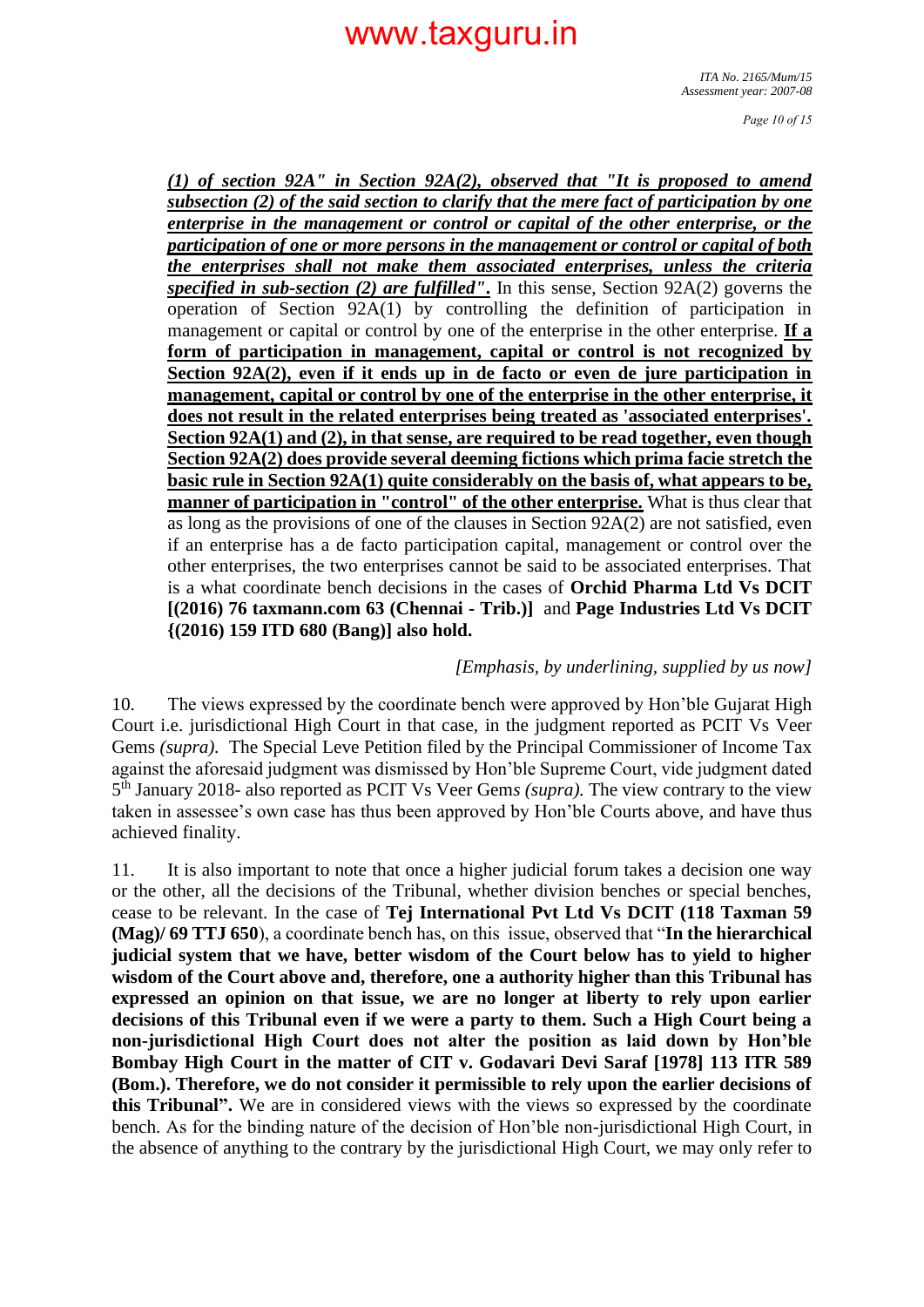*Page 10 of 15*

*(1) of section 92A" in Section 92A(2), observed that "It is proposed to amend subsection (2) of the said section to clarify that the mere fact of participation by one enterprise in the management or control or capital of the other enterprise, or the participation of one or more persons in the management or control or capital of both the enterprises shall not make them associated enterprises, unless the criteria specified in sub-section (2) are fulfilled"***.** In this sense, Section 92A(2) governs the operation of Section 92A(1) by controlling the definition of participation in management or capital or control by one of the enterprise in the other enterprise. **If a form of participation in management, capital or control is not recognized by Section 92A(2), even if it ends up in de facto or even de jure participation in management, capital or control by one of the enterprise in the other enterprise, it does not result in the related enterprises being treated as 'associated enterprises'. Section 92A(1) and (2), in that sense, are required to be read together, even though Section 92A(2) does provide several deeming fictions which prima facie stretch the basic rule in Section 92A(1) quite considerably on the basis of, what appears to be, manner of participation in "control" of the other enterprise.** What is thus clear that as long as the provisions of one of the clauses in Section 92A(2) are not satisfied, even if an enterprise has a de facto participation capital, management or control over the other enterprises, the two enterprises cannot be said to be associated enterprises. That is a what coordinate bench decisions in the cases of **Orchid Pharma Ltd Vs DCIT [(2016) 76 taxmann.com 63 (Chennai - Trib.)]** and **Page Industries Ltd Vs DCIT {(2016) 159 ITD 680 (Bang)] also hold.**

#### *[Emphasis, by underlining, supplied by us now]*

10. The views expressed by the coordinate bench were approved by Hon'ble Gujarat High Court i.e. jurisdictional High Court in that case, in the judgment reported as PCIT Vs Veer Gems *(supra).* The Special Leve Petition filed by the Principal Commissioner of Income Tax against the aforesaid judgment was dismissed by Hon'ble Supreme Court, vide judgment dated 5 th January 2018- also reported as PCIT Vs Veer Gem*s (supra).* The view contrary to the view taken in assessee's own case has thus been approved by Hon'ble Courts above, and have thus achieved finality.

11. It is also important to note that once a higher judicial forum takes a decision one way or the other, all the decisions of the Tribunal, whether division benches or special benches, cease to be relevant. In the case of **Tej International Pvt Ltd Vs DCIT (118 Taxman 59 (Mag)/ 69 TTJ 650**), a coordinate bench has, on this issue, observed that "**In the hierarchical judicial system that we have, better wisdom of the Court below has to yield to higher wisdom of the Court above and, therefore, one a authority higher than this Tribunal has expressed an opinion on that issue, we are no longer at liberty to rely upon earlier decisions of this Tribunal even if we were a party to them. Such a High Court being a non-jurisdictional High Court does not alter the position as laid down by Hon'ble Bombay High Court in the matter of CIT v. Godavari Devi Saraf [1978] 113 ITR 589 (Bom.). Therefore, we do not consider it permissible to rely upon the earlier decisions of this Tribunal".** We are in considered views with the views so expressed by the coordinate bench. As for the binding nature of the decision of Hon'ble non-jurisdictional High Court, in the absence of anything to the contrary by the jurisdictional High Court, we may only refer to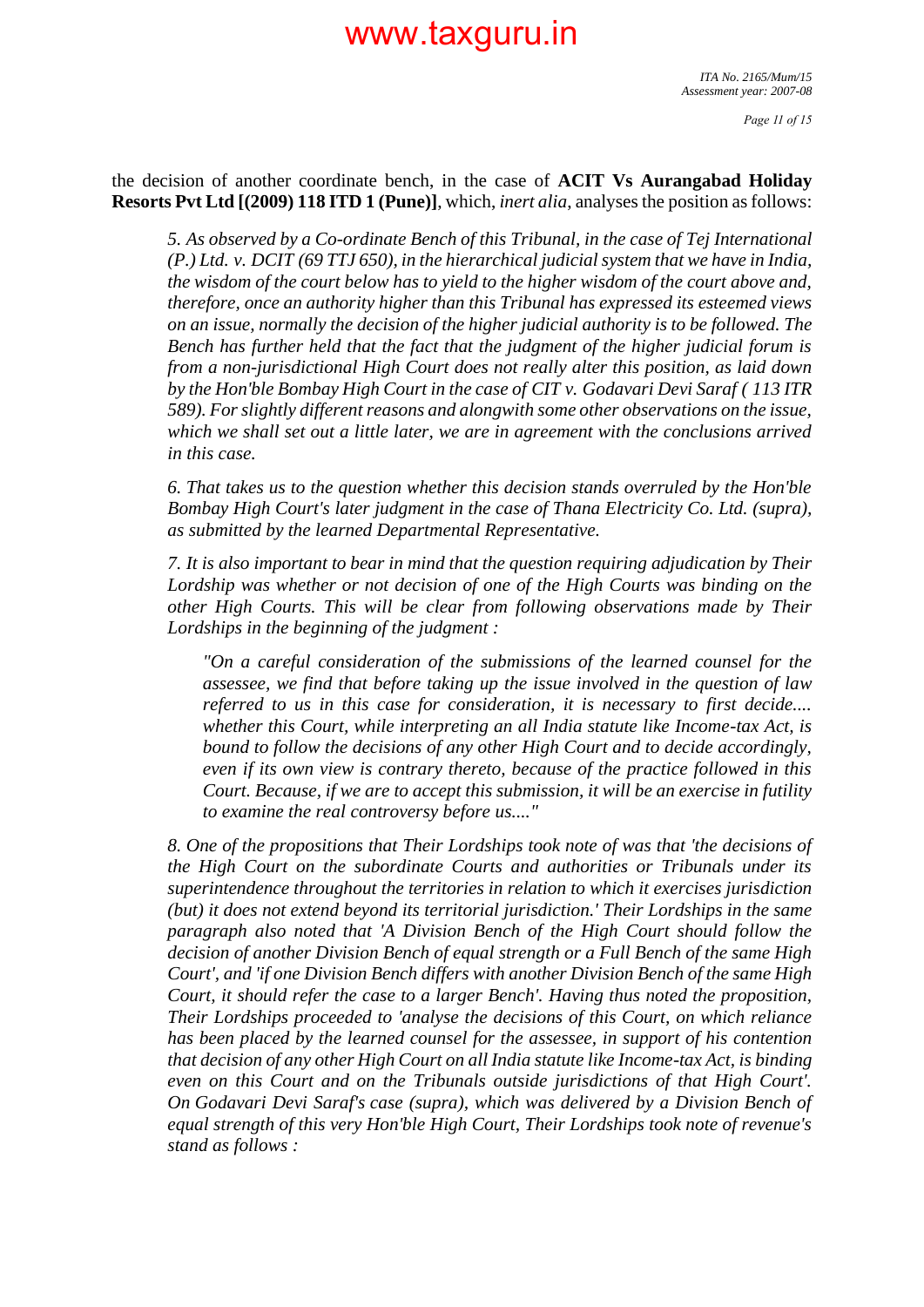the decision of another coordinate bench, in the case of **ACIT Vs Aurangabad Holiday Resorts Pvt Ltd [(2009) 118 ITD 1 (Pune)]**, which, *inert alia*, analyses the position as follows:

*5. As observed by a Co-ordinate Bench of this Tribunal, in the case of Tej International (P.) Ltd. v. DCIT (69 TTJ 650), in the hierarchical judicial system that we have in India, the wisdom of the court below has to yield to the higher wisdom of the court above and, therefore, once an authority higher than this Tribunal has expressed its esteemed views on an issue, normally the decision of the higher judicial authority is to be followed. The Bench has further held that the fact that the judgment of the higher judicial forum is from a non-jurisdictional High Court does not really alter this position, as laid down by the Hon'ble Bombay High Court in the case of CIT v. Godavari Devi Saraf ( 113 ITR 589). For slightly different reasons and alongwith some other observations on the issue, which we shall set out a little later, we are in agreement with the conclusions arrived in this case.*

*6. That takes us to the question whether this decision stands overruled by the Hon'ble Bombay High Court's later judgment in the case of Thana Electricity Co. Ltd. (supra), as submitted by the learned Departmental Representative.*

*7. It is also important to bear in mind that the question requiring adjudication by Their Lordship was whether or not decision of one of the High Courts was binding on the other High Courts. This will be clear from following observations made by Their Lordships in the beginning of the judgment :*

*"On a careful consideration of the submissions of the learned counsel for the assessee, we find that before taking up the issue involved in the question of law referred to us in this case for consideration, it is necessary to first decide.... whether this Court, while interpreting an all India statute like Income-tax Act, is bound to follow the decisions of any other High Court and to decide accordingly, even if its own view is contrary thereto, because of the practice followed in this Court. Because, if we are to accept this submission, it will be an exercise in futility to examine the real controversy before us...."*

*8. One of the propositions that Their Lordships took note of was that 'the decisions of the High Court on the subordinate Courts and authorities or Tribunals under its superintendence throughout the territories in relation to which it exercises jurisdiction (but) it does not extend beyond its territorial jurisdiction.' Their Lordships in the same paragraph also noted that 'A Division Bench of the High Court should follow the decision of another Division Bench of equal strength or a Full Bench of the same High Court', and 'if one Division Bench differs with another Division Bench of the same High Court, it should refer the case to a larger Bench'. Having thus noted the proposition, Their Lordships proceeded to 'analyse the decisions of this Court, on which reliance has been placed by the learned counsel for the assessee, in support of his contention that decision of any other High Court on all India statute like Income-tax Act, is binding even on this Court and on the Tribunals outside jurisdictions of that High Court'. On Godavari Devi Saraf's case (supra), which was delivered by a Division Bench of equal strength of this very Hon'ble High Court, Their Lordships took note of revenue's stand as follows :*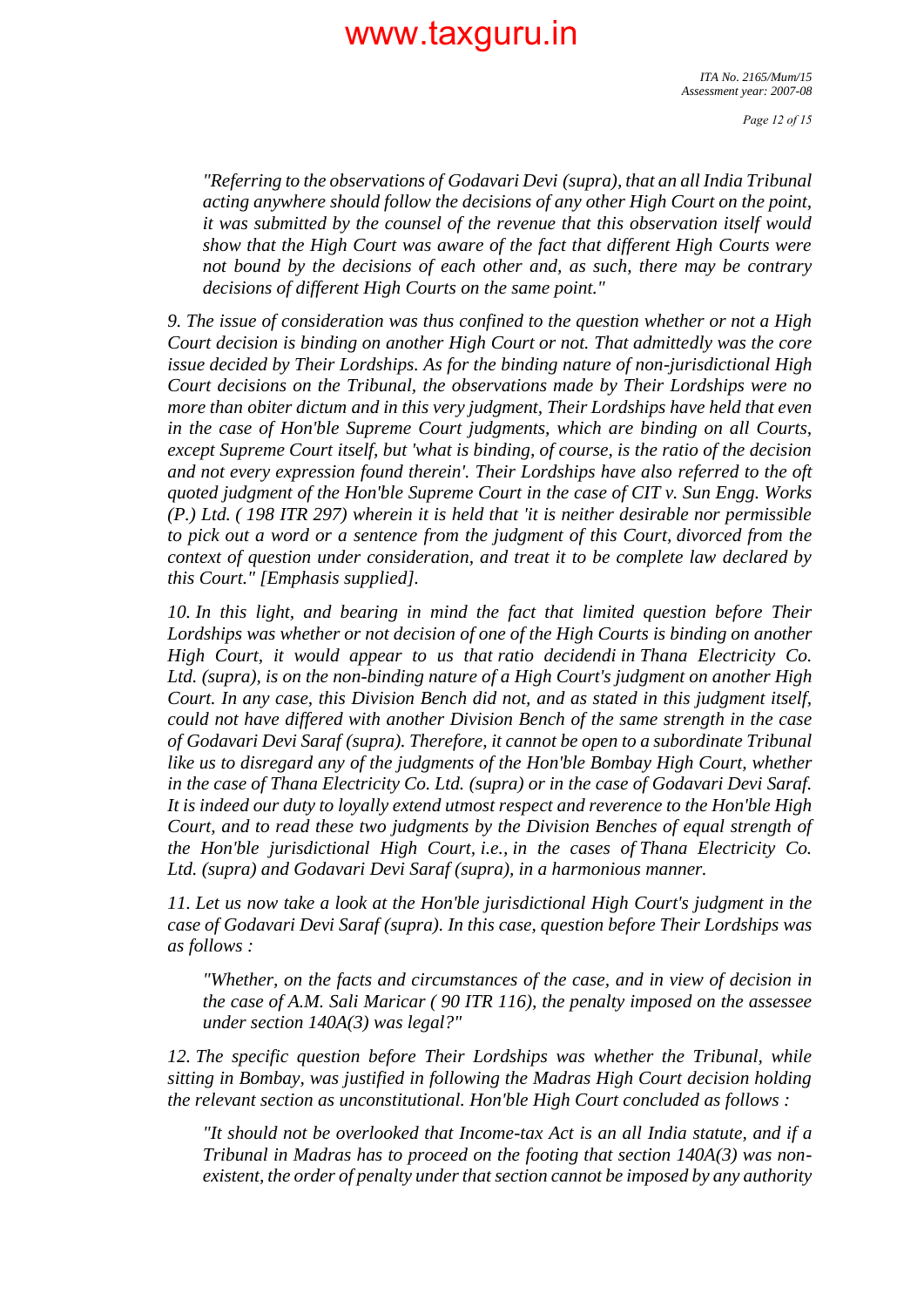*Page 12 of 15*

*"Referring to the observations of Godavari Devi (supra), that an all India Tribunal acting anywhere should follow the decisions of any other High Court on the point, it was submitted by the counsel of the revenue that this observation itself would show that the High Court was aware of the fact that different High Courts were not bound by the decisions of each other and, as such, there may be contrary decisions of different High Courts on the same point."*

*9. The issue of consideration was thus confined to the question whether or not a High Court decision is binding on another High Court or not. That admittedly was the core issue decided by Their Lordships. As for the binding nature of non-jurisdictional High Court decisions on the Tribunal, the observations made by Their Lordships were no more than obiter dictum and in this very judgment, Their Lordships have held that even in the case of Hon'ble Supreme Court judgments, which are binding on all Courts, except Supreme Court itself, but 'what is binding, of course, is the ratio of the decision and not every expression found therein'. Their Lordships have also referred to the oft quoted judgment of the Hon'ble Supreme Court in the case of CIT v. Sun Engg. Works (P.) Ltd. ( 198 ITR 297) wherein it is held that 'it is neither desirable nor permissible to pick out a word or a sentence from the judgment of this Court, divorced from the context of question under consideration, and treat it to be complete law declared by this Court." [Emphasis supplied].*

*10. In this light, and bearing in mind the fact that limited question before Their Lordships was whether or not decision of one of the High Courts is binding on another High Court, it would appear to us that ratio decidendi in Thana Electricity Co. Ltd. (supra), is on the non-binding nature of a High Court's judgment on another High Court. In any case, this Division Bench did not, and as stated in this judgment itself, could not have differed with another Division Bench of the same strength in the case of Godavari Devi Saraf (supra). Therefore, it cannot be open to a subordinate Tribunal like us to disregard any of the judgments of the Hon'ble Bombay High Court, whether in the case of Thana Electricity Co. Ltd. (supra) or in the case of Godavari Devi Saraf. It is indeed our duty to loyally extend utmost respect and reverence to the Hon'ble High Court, and to read these two judgments by the Division Benches of equal strength of the Hon'ble jurisdictional High Court, i.e., in the cases of Thana Electricity Co. Ltd. (supra) and Godavari Devi Saraf (supra), in a harmonious manner.*

*11. Let us now take a look at the Hon'ble jurisdictional High Court's judgment in the case of Godavari Devi Saraf (supra). In this case, question before Their Lordships was as follows :*

*"Whether, on the facts and circumstances of the case, and in view of decision in the case of A.M. Sali Maricar ( 90 ITR 116), the penalty imposed on the assessee under section 140A(3) was legal?"*

*12. The specific question before Their Lordships was whether the Tribunal, while sitting in Bombay, was justified in following the Madras High Court decision holding the relevant section as unconstitutional. Hon'ble High Court concluded as follows :*

*"It should not be overlooked that Income-tax Act is an all India statute, and if a Tribunal in Madras has to proceed on the footing that section 140A(3) was nonexistent, the order of penalty under that section cannot be imposed by any authority*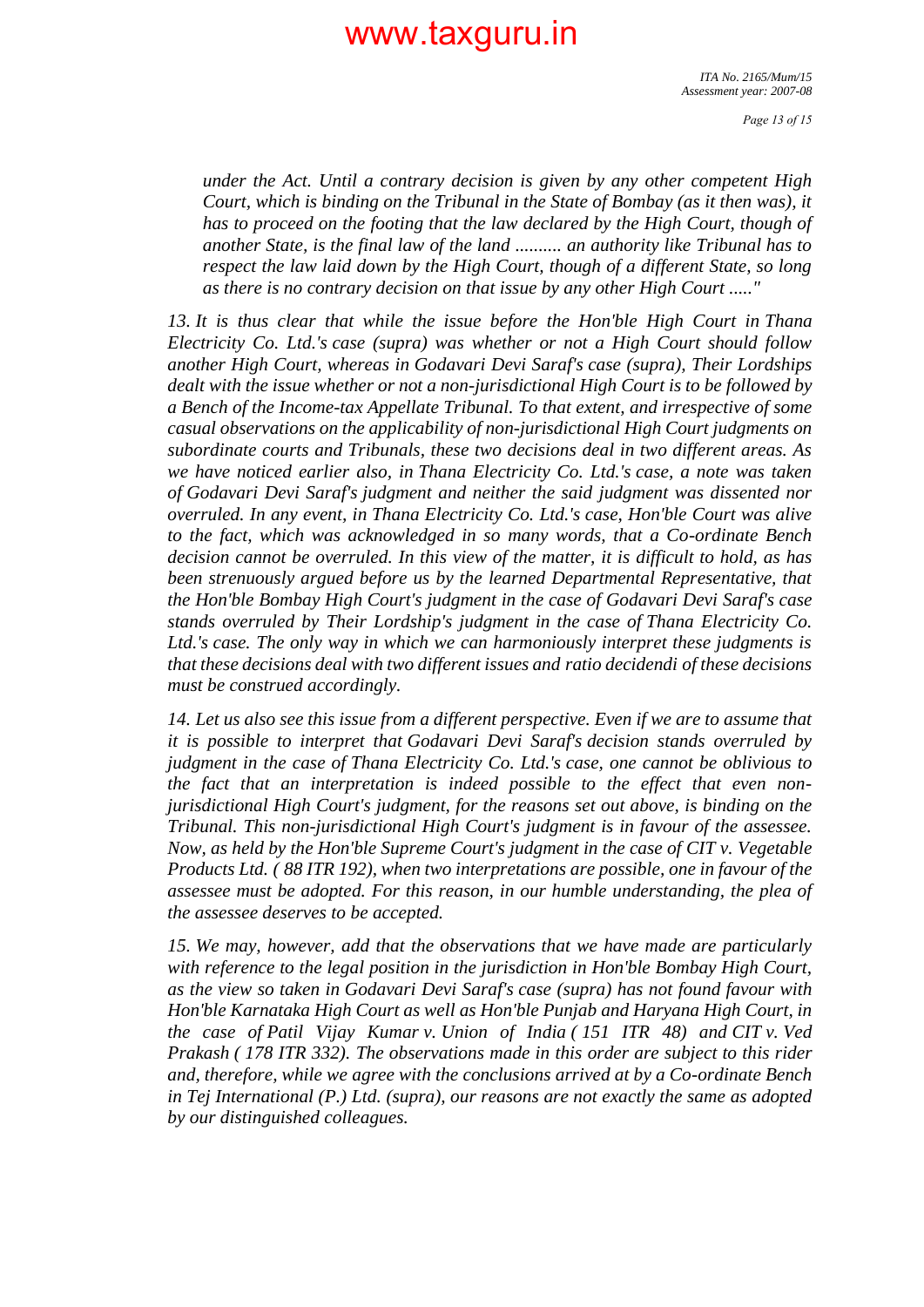*Page 13 of 15*

*under the Act. Until a contrary decision is given by any other competent High Court, which is binding on the Tribunal in the State of Bombay (as it then was), it has to proceed on the footing that the law declared by the High Court, though of another State, is the final law of the land .......... an authority like Tribunal has to respect the law laid down by the High Court, though of a different State, so long as there is no contrary decision on that issue by any other High Court ....."*

*13. It is thus clear that while the issue before the Hon'ble High Court in Thana Electricity Co. Ltd.'s case (supra) was whether or not a High Court should follow another High Court, whereas in Godavari Devi Saraf's case (supra), Their Lordships dealt with the issue whether or not a non-jurisdictional High Court is to be followed by a Bench of the Income-tax Appellate Tribunal. To that extent, and irrespective of some casual observations on the applicability of non-jurisdictional High Court judgments on subordinate courts and Tribunals, these two decisions deal in two different areas. As we have noticed earlier also, in Thana Electricity Co. Ltd.'s case, a note was taken of Godavari Devi Saraf's judgment and neither the said judgment was dissented nor overruled. In any event, in Thana Electricity Co. Ltd.'s case, Hon'ble Court was alive to the fact, which was acknowledged in so many words, that a Co-ordinate Bench decision cannot be overruled. In this view of the matter, it is difficult to hold, as has been strenuously argued before us by the learned Departmental Representative, that the Hon'ble Bombay High Court's judgment in the case of Godavari Devi Saraf's case stands overruled by Their Lordship's judgment in the case of Thana Electricity Co. Ltd.'s case. The only way in which we can harmoniously interpret these judgments is that these decisions deal with two different issues and ratio decidendi of these decisions must be construed accordingly.*

*14. Let us also see this issue from a different perspective. Even if we are to assume that it is possible to interpret that Godavari Devi Saraf's decision stands overruled by judgment in the case of Thana Electricity Co. Ltd.'s case, one cannot be oblivious to the fact that an interpretation is indeed possible to the effect that even nonjurisdictional High Court's judgment, for the reasons set out above, is binding on the Tribunal. This non-jurisdictional High Court's judgment is in favour of the assessee. Now, as held by the Hon'ble Supreme Court's judgment in the case of CIT v. Vegetable Products Ltd. ( 88 ITR 192), when two interpretations are possible, one in favour of the assessee must be adopted. For this reason, in our humble understanding, the plea of the assessee deserves to be accepted.*

*15. We may, however, add that the observations that we have made are particularly with reference to the legal position in the jurisdiction in Hon'ble Bombay High Court, as the view so taken in Godavari Devi Saraf's case (supra) has not found favour with Hon'ble Karnataka High Court as well as Hon'ble Punjab and Haryana High Court, in the case of Patil Vijay Kumar v. Union of India ( 151 ITR 48) and CIT v. Ved Prakash ( 178 ITR 332). The observations made in this order are subject to this rider and, therefore, while we agree with the conclusions arrived at by a Co-ordinate Bench in Tej International (P.) Ltd. (supra), our reasons are not exactly the same as adopted by our distinguished colleagues.*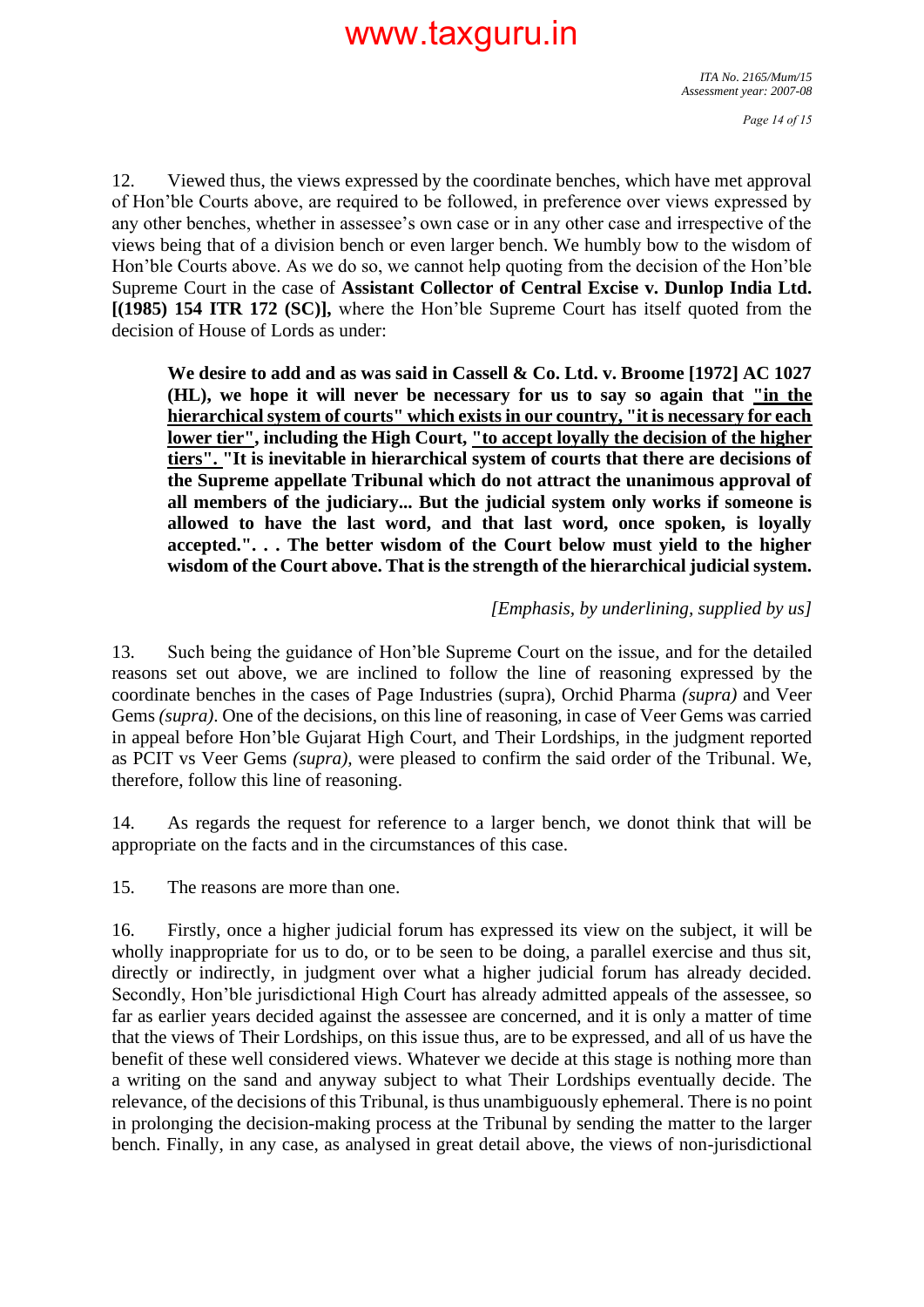12. Viewed thus, the views expressed by the coordinate benches, which have met approval of Hon'ble Courts above, are required to be followed, in preference over views expressed by any other benches, whether in assessee's own case or in any other case and irrespective of the views being that of a division bench or even larger bench. We humbly bow to the wisdom of Hon'ble Courts above. As we do so, we cannot help quoting from the decision of the Hon'ble Supreme Court in the case of **Assistant Collector of Central Excise v. Dunlop India Ltd. [(1985) 154 ITR 172 (SC)],** where the Hon'ble Supreme Court has itself quoted from the decision of House of Lords as under:

**We desire to add and as was said in Cassell & Co. Ltd. v. Broome [1972] AC 1027 (HL), we hope it will never be necessary for us to say so again that "in the hierarchical system of courts" which exists in our country, "it is necessary for each lower tier", including the High Court, "to accept loyally the decision of the higher tiers". "It is inevitable in hierarchical system of courts that there are decisions of the Supreme appellate Tribunal which do not attract the unanimous approval of all members of the judiciary... But the judicial system only works if someone is allowed to have the last word, and that last word, once spoken, is loyally accepted.". . . The better wisdom of the Court below must yield to the higher wisdom of the Court above. That is the strength of the hierarchical judicial system.**

#### *[Emphasis, by underlining, supplied by us]*

13. Such being the guidance of Hon'ble Supreme Court on the issue, and for the detailed reasons set out above, we are inclined to follow the line of reasoning expressed by the coordinate benches in the cases of Page Industries (supra), Orchid Pharma *(supra)* and Veer Gems *(supra)*. One of the decisions, on this line of reasoning, in case of Veer Gems was carried in appeal before Hon'ble Gujarat High Court, and Their Lordships, in the judgment reported as PCIT vs Veer Gems *(supra),* were pleased to confirm the said order of the Tribunal. We, therefore, follow this line of reasoning.

14. As regards the request for reference to a larger bench, we donot think that will be appropriate on the facts and in the circumstances of this case.

15. The reasons are more than one.

16. Firstly, once a higher judicial forum has expressed its view on the subject, it will be wholly inappropriate for us to do, or to be seen to be doing, a parallel exercise and thus sit, directly or indirectly, in judgment over what a higher judicial forum has already decided. Secondly, Hon'ble jurisdictional High Court has already admitted appeals of the assessee, so far as earlier years decided against the assessee are concerned, and it is only a matter of time that the views of Their Lordships, on this issue thus, are to be expressed, and all of us have the benefit of these well considered views. Whatever we decide at this stage is nothing more than a writing on the sand and anyway subject to what Their Lordships eventually decide. The relevance, of the decisions of this Tribunal, is thus unambiguously ephemeral. There is no point in prolonging the decision-making process at the Tribunal by sending the matter to the larger bench. Finally, in any case, as analysed in great detail above, the views of non-jurisdictional